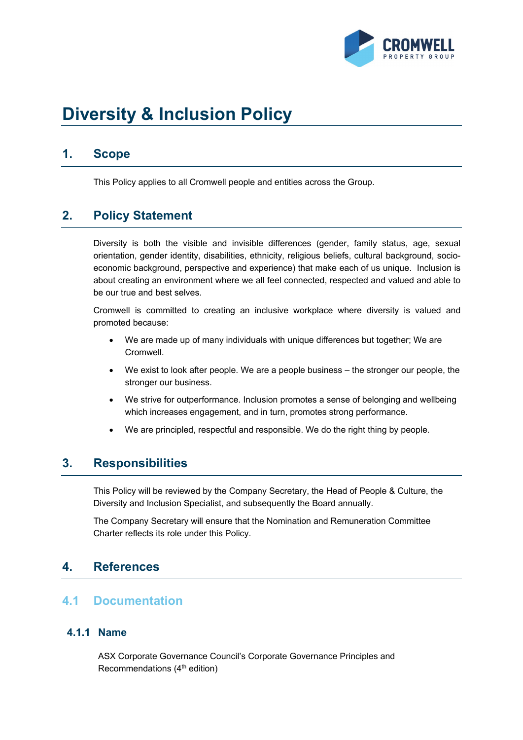

# **Diversity & Inclusion Policy**

# **1. Scope**

This Policy applies to all Cromwell people and entities across the Group.

# **2. Policy Statement**

Diversity is both the visible and invisible differences (gender, family status, age, sexual orientation, gender identity, disabilities, ethnicity, religious beliefs, cultural background, socioeconomic background, perspective and experience) that make each of us unique. Inclusion is about creating an environment where we all feel connected, respected and valued and able to be our true and best selves.

Cromwell is committed to creating an inclusive workplace where diversity is valued and promoted because:

- We are made up of many individuals with unique differences but together; We are Cromwell.
- We exist to look after people. We are a people business the stronger our people, the stronger our business.
- We strive for outperformance. Inclusion promotes a sense of belonging and wellbeing which increases engagement, and in turn, promotes strong performance.
- We are principled, respectful and responsible. We do the right thing by people.

## **3. Responsibilities**

This Policy will be reviewed by the Company Secretary, the Head of People & Culture, the Diversity and Inclusion Specialist, and subsequently the Board annually.

The Company Secretary will ensure that the Nomination and Remuneration Committee Charter reflects its role under this Policy.

## **4. References**

#### **4.1 Documentation**

#### **4.1.1 Name**

ASX Corporate Governance Council's Corporate Governance Principles and Recommendations (4th edition)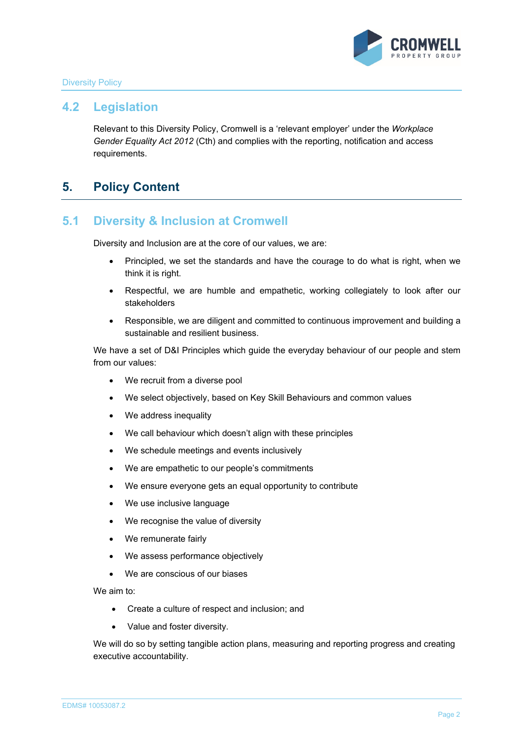

#### Diversity Policy

#### **4.2 Legislation**

Relevant to this Diversity Policy, Cromwell is a 'relevant employer' under the *Workplace Gender Equality Act 2012* (Cth) and complies with the reporting, notification and access requirements.

## **5. Policy Content**

#### **5.1 Diversity & Inclusion at Cromwell**

Diversity and Inclusion are at the core of our values, we are:

- Principled, we set the standards and have the courage to do what is right, when we think it is right.
- Respectful, we are humble and empathetic, working collegiately to look after our stakeholders
- Responsible, we are diligent and committed to continuous improvement and building a sustainable and resilient business.

We have a set of D&I Principles which guide the everyday behaviour of our people and stem from our values:

- We recruit from a diverse pool
- We select objectively, based on Key Skill Behaviours and common values
- We address inequality
- We call behaviour which doesn't align with these principles
- We schedule meetings and events inclusively
- We are empathetic to our people's commitments
- We ensure everyone gets an equal opportunity to contribute
- We use inclusive language
- We recognise the value of diversity
- We remunerate fairly
- We assess performance objectively
- We are conscious of our biases

We aim to:

- Create a culture of respect and inclusion; and
- Value and foster diversity.

We will do so by setting tangible action plans, measuring and reporting progress and creating executive accountability.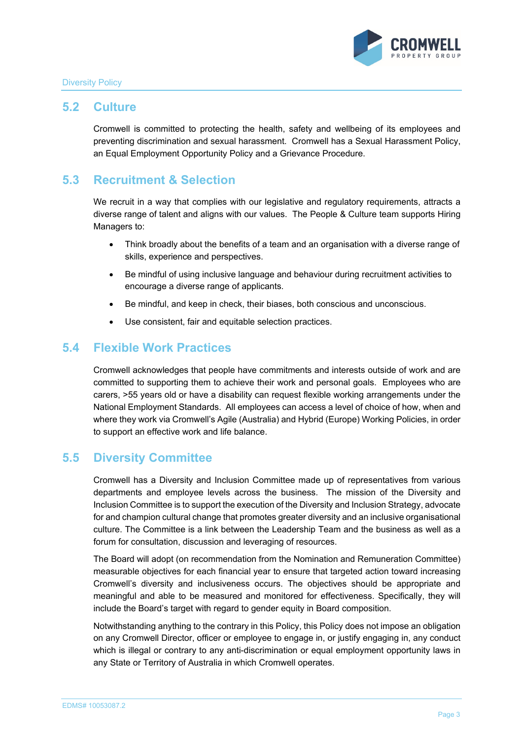

#### **5.2 Culture**

Cromwell is committed to protecting the health, safety and wellbeing of its employees and preventing discrimination and sexual harassment. Cromwell has a Sexual Harassment Policy, an Equal Employment Opportunity Policy and a Grievance Procedure.

# **5.3 Recruitment & Selection**

We recruit in a way that complies with our legislative and regulatory requirements, attracts a diverse range of talent and aligns with our values. The People & Culture team supports Hiring Managers to:

- Think broadly about the benefits of a team and an organisation with a diverse range of skills, experience and perspectives.
- Be mindful of using inclusive language and behaviour during recruitment activities to encourage a diverse range of applicants.
- Be mindful, and keep in check, their biases, both conscious and unconscious.
- Use consistent, fair and equitable selection practices.

#### **5.4 Flexible Work Practices**

Cromwell acknowledges that people have commitments and interests outside of work and are committed to supporting them to achieve their work and personal goals. Employees who are carers, >55 years old or have a disability can request flexible working arrangements under the National Employment Standards. All employees can access a level of choice of how, when and where they work via Cromwell's Agile (Australia) and Hybrid (Europe) Working Policies, in order to support an effective work and life balance.

#### **5.5 Diversity Committee**

Cromwell has a Diversity and Inclusion Committee made up of representatives from various departments and employee levels across the business. The mission of the Diversity and Inclusion Committee is to support the execution of the Diversity and Inclusion Strategy, advocate for and champion cultural change that promotes greater diversity and an inclusive organisational culture. The Committee is a link between the Leadership Team and the business as well as a forum for consultation, discussion and leveraging of resources.

The Board will adopt (on recommendation from the Nomination and Remuneration Committee) measurable objectives for each financial year to ensure that targeted action toward increasing Cromwell's diversity and inclusiveness occurs. The objectives should be appropriate and meaningful and able to be measured and monitored for effectiveness. Specifically, they will include the Board's target with regard to gender equity in Board composition.

Notwithstanding anything to the contrary in this Policy, this Policy does not impose an obligation on any Cromwell Director, officer or employee to engage in, or justify engaging in, any conduct which is illegal or contrary to any anti-discrimination or equal employment opportunity laws in any State or Territory of Australia in which Cromwell operates.